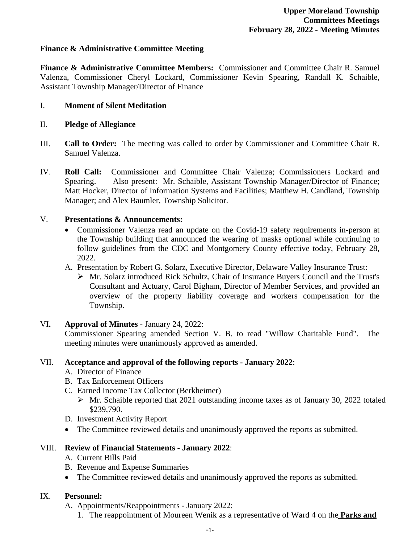## **Finance & Administrative Committee Meeting**

**Finance & Administrative Committee Members:** Commissioner and Committee Chair R. Samuel Valenza, Commissioner Cheryl Lockard, Commissioner Kevin Spearing, Randall K. Schaible, Assistant Township Manager/Director of Finance

#### I. **Moment of Silent Meditation**

#### II. **Pledge of Allegiance**

- III. **Call to Order:** The meeting was called to order by Commissioner and Committee Chair R. Samuel Valenza.
- IV. **Roll Call:** Commissioner and Committee Chair Valenza; Commissioners Lockard and Spearing. Also present: Mr. Schaible, Assistant Township Manager/Director of Finance; Matt Hocker, Director of Information Systems and Facilities; Matthew H. Candland, Township Manager; and Alex Baumler, Township Solicitor.

#### V. **Presentations & Announcements:**

- Commissioner Valenza read an update on the Covid-19 safety requirements in-person at the Township building that announced the wearing of masks optional while continuing to follow guidelines from the CDC and Montgomery County effective today, February 28, 2022.
- A. Presentation by Robert G. Solarz, Executive Director, Delaware Valley Insurance Trust:
	- Mr. Solarz introduced Rick Schultz, Chair of Insurance Buyers Council and the Trust's Consultant and Actuary, Carol Bigham, Director of Member Services, and provided an overview of the property liability coverage and workers compensation for the Township.

#### VI**. Approval of Minutes -** January 24, 2022:

Commissioner Spearing amended Section V. B. to read "Willow Charitable Fund". The meeting minutes were unanimously approved as amended.

#### VII. **Acceptance and approval of the following reports - January 2022**:

- A. Director of Finance
- B. Tax Enforcement Officers
- C. Earned Income Tax Collector (Berkheimer)
	- $\triangleright$  Mr. Schaible reported that 2021 outstanding income taxes as of January 30, 2022 totaled \$239,790.
- D. Investment Activity Report
- The Committee reviewed details and unanimously approved the reports as submitted.

#### VIII. **Review of Financial Statements - January 2022**:

- A. Current Bills Paid
- B. Revenue and Expense Summaries
- The Committee reviewed details and unanimously approved the reports as submitted.

## IX. **Personnel:**

- A. Appointments/Reappointments January 2022:
	- 1. The reappointment of Moureen Wenik as a representative of Ward 4 on the **Parks and**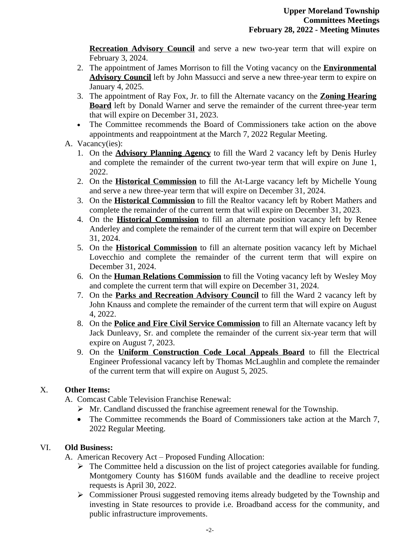**Recreation Advisory Council** and serve a new two-year term that will expire on February 3, 2024.

- 2. The appointment of James Morrison to fill the Voting vacancy on the **Environmental Advisory Council** left by John Massucci and serve a new three-year term to expire on January 4, 2025.
- 3. The appointment of Ray Fox, Jr. to fill the Alternate vacancy on the **Zoning Hearing Board** left by Donald Warner and serve the remainder of the current three-year term that will expire on December 31, 2023.
- The Committee recommends the Board of Commissioners take action on the above appointments and reappointment at the March 7, 2022 Regular Meeting.
- A. Vacancy(ies):
	- 1. On the **Advisory Planning Agency** to fill the Ward 2 vacancy left by Denis Hurley and complete the remainder of the current two-year term that will expire on June 1, 2022.
	- 2. On the **Historical Commission** to fill the At-Large vacancy left by Michelle Young and serve a new three-year term that will expire on December 31, 2024.
	- 3. On the **Historical Commission** to fill the Realtor vacancy left by Robert Mathers and complete the remainder of the current term that will expire on December 31, 2023.
	- 4. On the **Historical Commission** to fill an alternate position vacancy left by Renee Anderley and complete the remainder of the current term that will expire on December 31, 2024.
	- 5. On the **Historical Commission** to fill an alternate position vacancy left by Michael Lovecchio and complete the remainder of the current term that will expire on December 31, 2024.
	- 6. On the **Human Relations Commission** to fill the Voting vacancy left by Wesley Moy and complete the current term that will expire on December 31, 2024.
	- 7. On the **Parks and Recreation Advisory Council** to fill the Ward 2 vacancy left by John Knauss and complete the remainder of the current term that will expire on August 4, 2022.
	- 8. On the **Police and Fire Civil Service Commission** to fill an Alternate vacancy left by Jack Dunleavy, Sr. and complete the remainder of the current six-year term that will expire on August 7, 2023.
	- 9. On the **Uniform Construction Code Local Appeals Board** to fill the Electrical Engineer Professional vacancy left by Thomas McLaughlin and complete the remainder of the current term that will expire on August 5, 2025.

## X. **Other Items:**

A. Comcast Cable Television Franchise Renewal:

- $\triangleright$  Mr. Candland discussed the franchise agreement renewal for the Township.
- The Committee recommends the Board of Commissioners take action at the March 7, 2022 Regular Meeting.

# VI. **Old Business:**

A. American Recovery Act – Proposed Funding Allocation:

- $\triangleright$  The Committee held a discussion on the list of project categories available for funding. Montgomery County has \$160M funds available and the deadline to receive project requests is April 30, 2022.
- Commissioner Prousi suggested removing items already budgeted by the Township and investing in State resources to provide i.e. Broadband access for the community, and public infrastructure improvements.